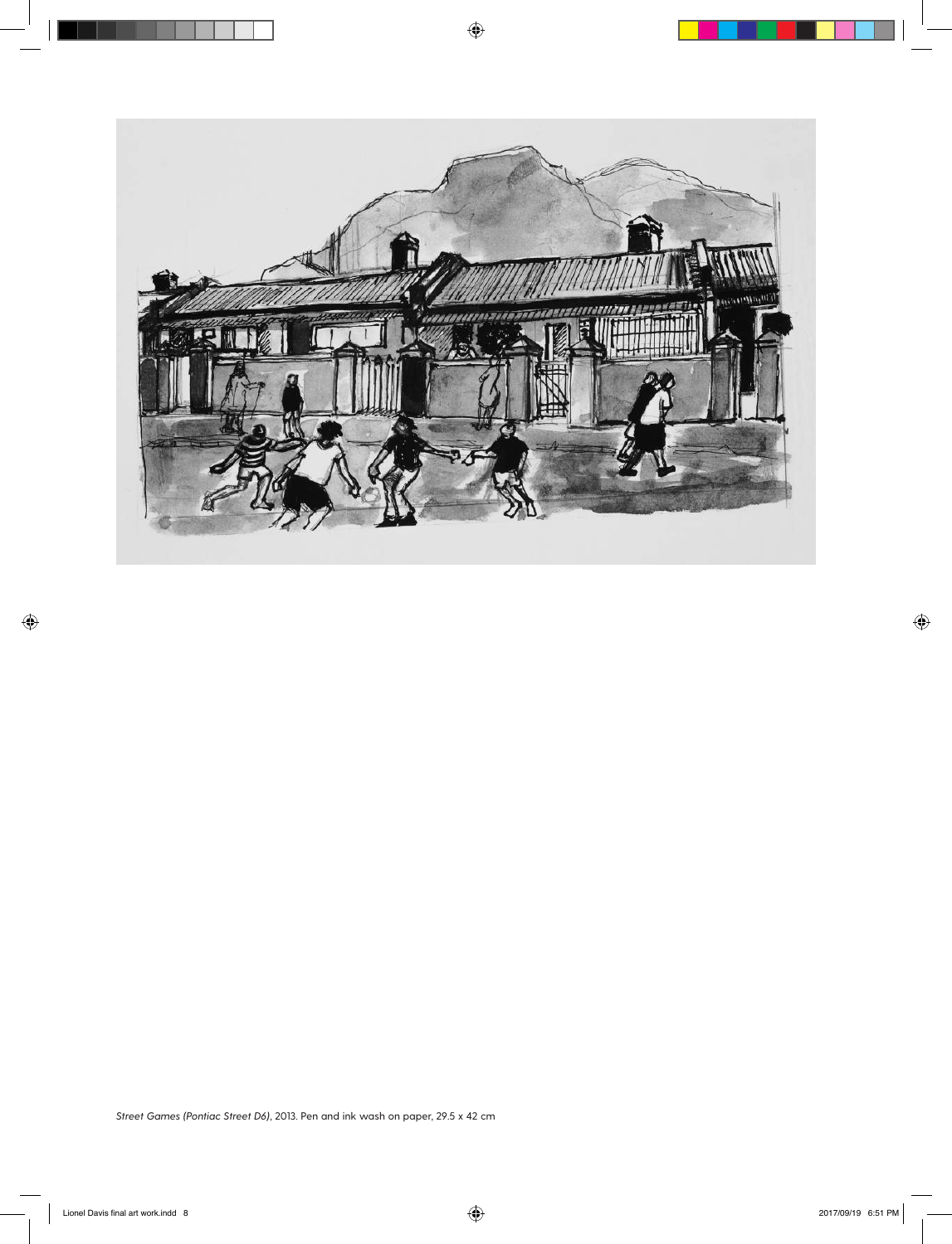

 $\bigoplus$ 

 $\bigoplus$ 

 $\bigoplus$